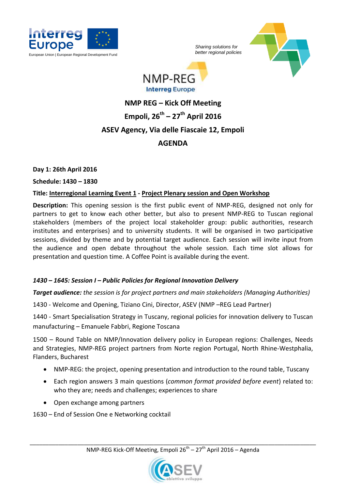

*Sharing solutions for* 





# **NMP REG – Kick Off Meeting Empoli, 26th – 27th April 2016 ASEV Agency, Via delle Fiascaie 12, Empoli AGENDA**

# **Day 1: 26th April 2016**

**Schedule: 1430 – 1830**

# **Title: Interregional Learning Event 1 - Project Plenary session and Open Workshop**

**Description:** This opening session is the first public event of NMP-REG, designed not only for partners to get to know each other better, but also to present NMP-REG to Tuscan regional stakeholders (members of the project local stakeholder group: public authorities, research institutes and enterprises) and to university students. It will be organised in two participative sessions, divided by theme and by potential target audience. Each session will invite input from the audience and open debate throughout the whole session. Each time slot allows for presentation and question time. A Coffee Point is available during the event.

# *1430 – 1645: Session I – Public Policies for Regional Innovation Delivery*

*Target audience: the session is for project partners and main stakeholders (Managing Authorities)*

1430 - Welcome and Opening, Tiziano Cini, Director, ASEV (NMP –REG Lead Partner)

1440 - Smart Specialisation Strategy in Tuscany, regional policies for innovation delivery to Tuscan manufacturing – Emanuele Fabbri, Regione Toscana

1500 – Round Table on NMP/Innovation delivery policy in European regions: Challenges, Needs and Strategies, NMP-REG project partners from Norte region Portugal, North Rhine-Westphalia, Flanders, Bucharest

- NMP-REG: the project, opening presentation and introduction to the round table, Tuscany
- Each region answers 3 main questions (*common format provided before event*) related to: who they are; needs and challenges; experiences to share
- Open exchange among partners

1630 – End of Session One e Networking cocktail

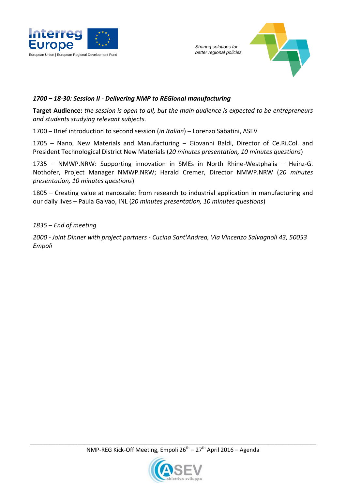



# *1700 – 18-30: Session II - Delivering NMP to REGional manufacturing*

**Target Audience:** *the session is open to all, but the main audience is expected to be entrepreneurs and students studying relevant subjects.*

1700 – Brief introduction to second session (*in Italian*) – Lorenzo Sabatini, ASEV

1705 – Nano, New Materials and Manufacturing – Giovanni Baldi, Director of Ce.Ri.Col. and President Technological District New Materials (*20 minutes presentation, 10 minutes questions*)

1735 – NMWP.NRW: Supporting innovation in SMEs in North Rhine-Westphalia – Heinz-G. Nothofer, Project Manager NMWP.NRW; Harald Cremer, Director NMWP.NRW (*20 minutes presentation, 10 minutes questions*)

1805 – Creating value at nanoscale: from research to industrial application in manufacturing and our daily lives – Paula Galvao, INL (*20 minutes presentation, 10 minutes questions*)

*1835 – End of meeting*

*2000 - Joint Dinner with project partners - Cucina Sant'Andrea, Via Vincenzo Salvagnoli 43, 50053 Empoli*

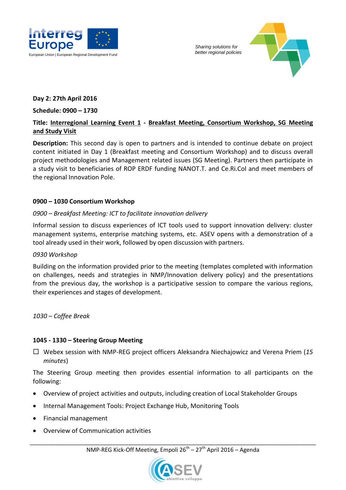

*Sharing solutions for* 



# **Day 2: 27th April 2016**

### **Schedule: 0900 – 1730**

# **Title: Interregional Learning Event 1 - Breakfast Meeting, Consortium Workshop, SG Meeting and Study Visit**

**Description:** This second day is open to partners and is intended to continue debate on project content initiated in Day 1 (Breakfast meeting and Consortium Workshop) and to discuss overall project methodologies and Management related issues (SG Meeting). Partners then participate in a study visit to beneficiaries of ROP ERDF funding NANOT.T. and Ce.Ri.Col and meet members of the regional Innovation Pole.

# **0900 – 1030 Consortium Workshop**

# *0900 – Breakfast Meeting: ICT to facilitate innovation delivery*

Informal session to discuss experiences of ICT tools used to support innovation delivery: cluster management systems, enterprise matching systems, etc. ASEV opens with a demonstration of a tool already used in their work, followed by open discussion with partners.

#### *0930 Workshop*

Building on the information provided prior to the meeting (templates completed with information on challenges, needs and strategies in NMP/Innovation delivery policy) and the presentations from the previous day, the workshop is a participative session to compare the various regions, their experiences and stages of development.

*1030 – Coffee Break*

# **1045 - 1330 – Steering Group Meeting**

 Webex session with NMP-REG project officers Aleksandra Niechajowicz and Verena Priem (*15 minutes*)

The Steering Group meeting then provides essential information to all participants on the following:

- Overview of project activities and outputs, including creation of Local Stakeholder Groups
- Internal Management Tools: Project Exchange Hub, Monitoring Tools
- Financial management
- Overview of Communication activities